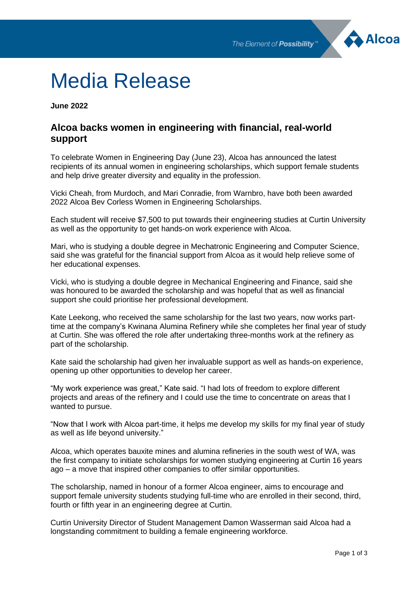

# Media Release

**June 2022**

# **Alcoa backs women in engineering with financial, real-world support**

To celebrate Women in Engineering Day (June 23), Alcoa has announced the latest recipients of its annual women in engineering scholarships, which support female students and help drive greater diversity and equality in the profession.

Vicki Cheah, from Murdoch, and Mari Conradie, from Warnbro, have both been awarded 2022 Alcoa Bev Corless Women in Engineering Scholarships.

Each student will receive \$7,500 to put towards their engineering studies at Curtin University as well as the opportunity to get hands-on work experience with Alcoa.

Mari, who is studying a double degree in Mechatronic Engineering and Computer Science, said she was grateful for the financial support from Alcoa as it would help relieve some of her educational expenses.

Vicki, who is studying a double degree in Mechanical Engineering and Finance, said she was honoured to be awarded the scholarship and was hopeful that as well as financial support she could prioritise her professional development.

Kate Leekong, who received the same scholarship for the last two years, now works parttime at the company's Kwinana Alumina Refinery while she completes her final year of study at Curtin. She was offered the role after undertaking three-months work at the refinery as part of the scholarship.

Kate said the scholarship had given her invaluable support as well as hands-on experience, opening up other opportunities to develop her career.

"My work experience was great," Kate said. "I had lots of freedom to explore different projects and areas of the refinery and I could use the time to concentrate on areas that I wanted to pursue.

"Now that I work with Alcoa part-time, it helps me develop my skills for my final year of study as well as life beyond university."

Alcoa, which operates bauxite mines and alumina refineries in the south west of WA, was the first company to initiate scholarships for women studying engineering at Curtin 16 years ago – a move that inspired other companies to offer similar opportunities.

The scholarship, named in honour of a former Alcoa engineer, aims to encourage and support female university students studying full-time who are enrolled in their second, third, fourth or fifth year in an engineering degree at Curtin.

Curtin University Director of Student Management Damon Wasserman said Alcoa had a longstanding commitment to building a female engineering workforce.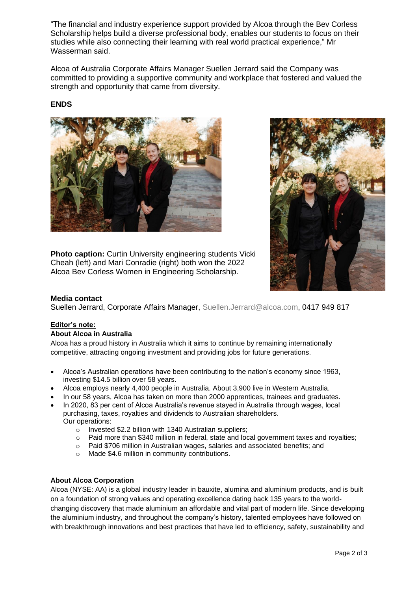"The financial and industry experience support provided by Alcoa through the Bev Corless Scholarship helps build a diverse professional body, enables our students to focus on their studies while also connecting their learning with real world practical experience," Mr Wasserman said.

Alcoa of Australia Corporate Affairs Manager Suellen Jerrard said the Company was committed to providing a supportive community and workplace that fostered and valued the strength and opportunity that came from diversity.

## **ENDS**



**Photo caption:** Curtin University engineering students Vicki Cheah (left) and Mari Conradie (right) both won the 2022 Alcoa Bev Corless Women in Engineering Scholarship.



### **Media contact**

Suellen Jerrard, Corporate Affairs Manager, [Suellen.Jerrard@alcoa.com,](mailto:Suellen.Jerrard@alcoa.com) 0417 949 817

### **Editor's note:**

#### **About Alcoa in Australia**

Alcoa has a proud history in Australia which it aims to continue by remaining internationally competitive, attracting ongoing investment and providing jobs for future generations.

- Alcoa's Australian operations have been contributing to the nation's economy since 1963, investing \$14.5 billion over 58 years.
- Alcoa employs nearly 4,400 people in Australia. About 3,900 live in Western Australia.
- In our 58 years, Alcoa has taken on more than 2000 apprentices, trainees and graduates.
- In 2020, 83 per cent of Alcoa Australia's revenue stayed in Australia through wages, local purchasing, taxes, royalties and dividends to Australian shareholders. Our operations:
	- o Invested \$2.2 billion with 1340 Australian suppliers;
	- o Paid more than \$340 million in federal, state and local government taxes and royalties;
	- o Paid \$706 million in Australian wages, salaries and associated benefits; and
	- o Made \$4.6 million in community contributions.

#### **About Alcoa Corporation**

Alcoa (NYSE: AA) is a global industry leader in bauxite, alumina and aluminium products, and is built on a foundation of strong values and operating excellence dating back 135 years to the worldchanging discovery that made aluminium an affordable and vital part of modern life. Since developing the aluminium industry, and throughout the company's history, talented employees have followed on with breakthrough innovations and best practices that have led to efficiency, safety, sustainability and